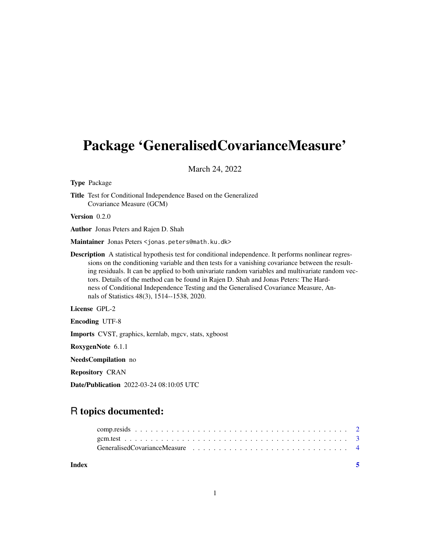## Package 'GeneralisedCovarianceMeasure'

March 24, 2022

Type Package

Title Test for Conditional Independence Based on the Generalized Covariance Measure (GCM)

Version 0.2.0

Author Jonas Peters and Rajen D. Shah

Maintainer Jonas Peters <jonas.peters@math.ku.dk>

Description A statistical hypothesis test for conditional independence. It performs nonlinear regressions on the conditioning variable and then tests for a vanishing covariance between the resulting residuals. It can be applied to both univariate random variables and multivariate random vectors. Details of the method can be found in Rajen D. Shah and Jonas Peters: The Hardness of Conditional Independence Testing and the Generalised Covariance Measure, Annals of Statistics 48(3), 1514--1538, 2020.

License GPL-2

Encoding UTF-8

Imports CVST, graphics, kernlab, mgcv, stats, xgboost

RoxygenNote 6.1.1

NeedsCompilation no

Repository CRAN

Date/Publication 2022-03-24 08:10:05 UTC

### R topics documented:

**Index** [5](#page-4-0)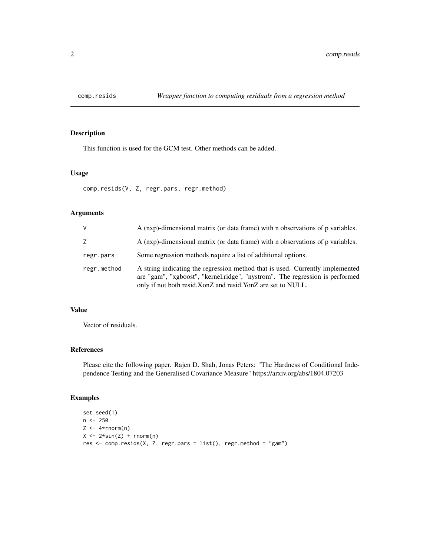<span id="page-1-0"></span>

#### Description

This function is used for the GCM test. Other methods can be added.

#### Usage

comp.resids(V, Z, regr.pars, regr.method)

#### Arguments

| V           | A (nxp)-dimensional matrix (or data frame) with n observations of p variables.                                                                                                                                               |
|-------------|------------------------------------------------------------------------------------------------------------------------------------------------------------------------------------------------------------------------------|
| Z           | A (nxp)-dimensional matrix (or data frame) with n observations of p variables.                                                                                                                                               |
| regr.pars   | Some regression methods require a list of additional options.                                                                                                                                                                |
| regr.method | A string indicating the regression method that is used. Currently implemented<br>are "gam", "xgboost", "kernel.ridge", "nystrom". The regression is performed<br>only if not both resid.XonZ and resid.YonZ are set to NULL. |

#### Value

Vector of residuals.

#### References

Please cite the following paper. Rajen D. Shah, Jonas Peters: "The Hardness of Conditional Independence Testing and the Generalised Covariance Measure" https://arxiv.org/abs/1804.07203

#### Examples

```
set.seed(1)
n <- 250
Z \leftarrow 4*rnorm(n)X \leftarrow 2 * sin(Z) + rnorm(n)res <- comp.resids(X, Z, regr.pars = list(), regr.method = "gam")
```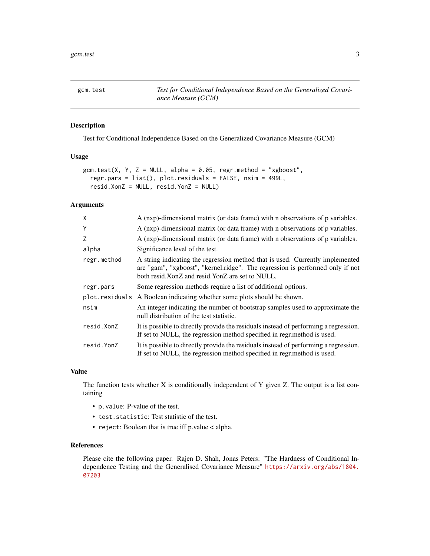<span id="page-2-0"></span>gcm.test *Test for Conditional Independence Based on the Generalized Covariance Measure (GCM)*

#### Description

Test for Conditional Independence Based on the Generalized Covariance Measure (GCM)

#### Usage

```
gcm.test(X, Y, Z = NULL, alpha = 0.05, regr.method = "xgboost",
 regr.pars = list(), plot.residuals = FALSE, nsim = 499L,
 resid.XonZ = NULL, resid.YonZ = NULL)
```
#### Arguments

| A (nxp)-dimensional matrix (or data frame) with n observations of p variables.                                                                                                                                    |
|-------------------------------------------------------------------------------------------------------------------------------------------------------------------------------------------------------------------|
| A (nxp)-dimensional matrix (or data frame) with n observations of p variables.                                                                                                                                    |
| A (nxp)-dimensional matrix (or data frame) with n observations of p variables.                                                                                                                                    |
| Significance level of the test.                                                                                                                                                                                   |
| A string indicating the regression method that is used. Currently implemented<br>are "gam", "xgboost", "kernel.ridge". The regression is performed only if not<br>both resid.XonZ and resid.YonZ are set to NULL. |
| Some regression methods require a list of additional options.                                                                                                                                                     |
| plot.residuals<br>A Boolean indicating whether some plots should be shown.                                                                                                                                        |
| An integer indicating the number of bootstrap samples used to approximate the<br>null distribution of the test statistic.                                                                                         |
| It is possible to directly provide the residuals instead of performing a regression.<br>If set to NULL, the regression method specified in regramethod is used.                                                   |
| It is possible to directly provide the residuals instead of performing a regression.<br>If set to NULL, the regression method specified in regr.method is used.                                                   |
|                                                                                                                                                                                                                   |

#### Value

The function tests whether X is conditionally independent of Y given Z. The output is a list containing

- p.value: P-value of the test.
- test.statistic: Test statistic of the test.
- reject: Boolean that is true iff p.value < alpha.

#### References

Please cite the following paper. Rajen D. Shah, Jonas Peters: "The Hardness of Conditional Independence Testing and the Generalised Covariance Measure" [https://arxiv.org/abs/1804.](https://arxiv.org/abs/1804.07203) [07203](https://arxiv.org/abs/1804.07203)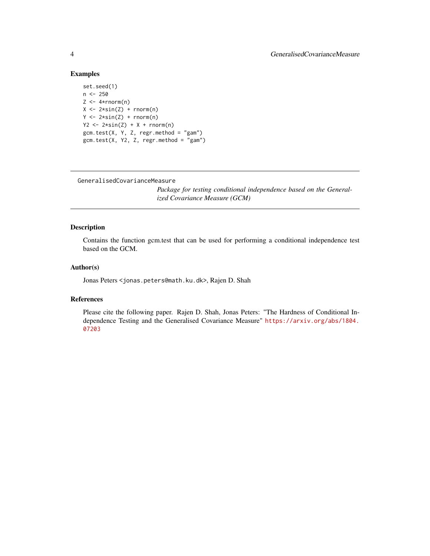#### Examples

```
set.seed(1)
n <- 250
Z \leftarrow 4*rnorm(n)X \leftarrow 2 \star \sin(Z) + \text{norm}(n)Y \leftarrow 2 \star \sin(Z) + \text{norm}(n)YZ \leftarrow 2*sin(Z) + X + rnorm(n)gcm.test(X, Y, Z, regr.method = "gam")
gcm.test(X, Y2, Z, regr.method = "gam")
```
GeneralisedCovarianceMeasure

*Package for testing conditional independence based on the Generalized Covariance Measure (GCM)*

#### Description

Contains the function gcm.test that can be used for performing a conditional independence test based on the GCM.

#### Author(s)

Jonas Peters <jonas.peters@math.ku.dk>, Rajen D. Shah

#### References

Please cite the following paper. Rajen D. Shah, Jonas Peters: "The Hardness of Conditional Independence Testing and the Generalised Covariance Measure" [https://arxiv.org/abs/1804.](https://arxiv.org/abs/1804.07203) [07203](https://arxiv.org/abs/1804.07203)

<span id="page-3-0"></span>